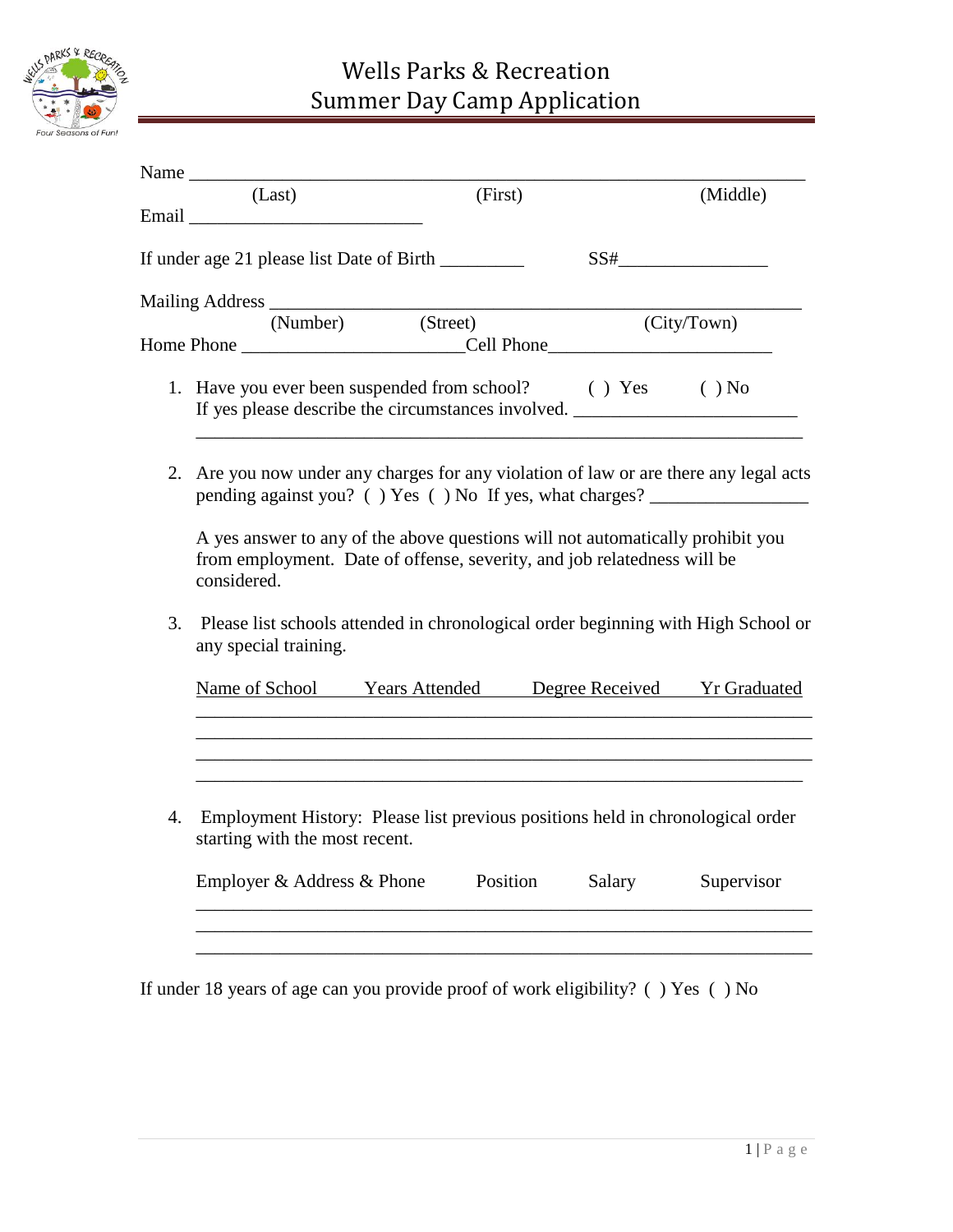

|    | (Last)                                                                                                                                                                     | (First)           |        | (Middle)    |  |
|----|----------------------------------------------------------------------------------------------------------------------------------------------------------------------------|-------------------|--------|-------------|--|
|    | If under age 21 please list Date of Birth __________                                                                                                                       |                   | SS#    |             |  |
|    | Home Phone ________________________________Cell Phone___________________________                                                                                           | (Number) (Street) |        | (City/Town) |  |
|    | 1. Have you ever been suspended from school? (a) Yes (b) No<br>If yes please describe the circumstances involved. ______________________________                           |                   |        |             |  |
|    | 2. Are you now under any charges for any violation of law or are there any legal acts<br>pending against you? () Yes () No If yes, what charges? _________________________ |                   |        |             |  |
|    | A yes answer to any of the above questions will not automatically prohibit you<br>from employment. Date of offense, severity, and job relatedness will be<br>considered.   |                   |        |             |  |
| 3. | Please list schools attended in chronological order beginning with High School or<br>any special training.                                                                 |                   |        |             |  |
|    | Name of School Years Attended Degree Received Yr Graduated                                                                                                                 |                   |        |             |  |
|    |                                                                                                                                                                            |                   |        |             |  |
| 4. | Employment History: Please list previous positions held in chronological order<br>starting with the most recent.                                                           |                   |        |             |  |
|    | Employer & Address & Phone Position                                                                                                                                        |                   | Salary | Supervisor  |  |
|    |                                                                                                                                                                            |                   |        |             |  |

If under 18 years of age can you provide proof of work eligibility? ( ) Yes ( ) No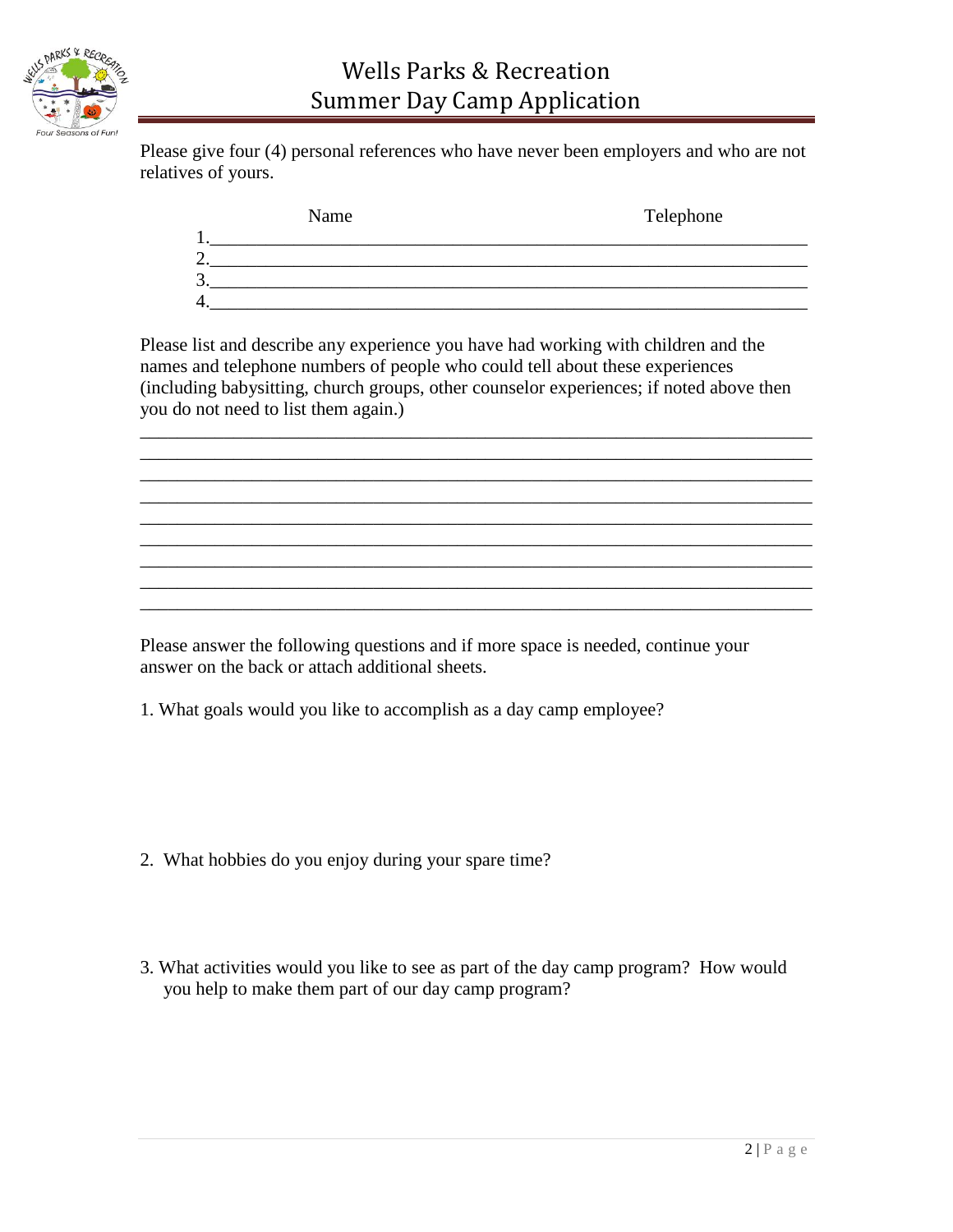

Please give four (4) personal references who have never been employers and who are not relatives of yours.



 $\mathcal{L}_\text{max} = \mathcal{L}_\text{max} = \mathcal{L}_\text{max} = \mathcal{L}_\text{max} = \mathcal{L}_\text{max} = \mathcal{L}_\text{max} = \mathcal{L}_\text{max} = \mathcal{L}_\text{max} = \mathcal{L}_\text{max} = \mathcal{L}_\text{max} = \mathcal{L}_\text{max} = \mathcal{L}_\text{max} = \mathcal{L}_\text{max} = \mathcal{L}_\text{max} = \mathcal{L}_\text{max} = \mathcal{L}_\text{max} = \mathcal{L}_\text{max} = \mathcal{L}_\text{max} = \mathcal{$ 

Please list and describe any experience you have had working with children and the names and telephone numbers of people who could tell about these experiences (including babysitting, church groups, other counselor experiences; if noted above then you do not need to list them again.)

\_\_\_\_\_\_\_\_\_\_\_\_\_\_\_\_\_\_\_\_\_\_\_\_\_\_\_\_\_\_\_\_\_\_\_\_\_\_\_\_\_\_\_\_\_\_\_\_\_\_\_\_\_\_\_\_\_\_\_\_\_\_\_\_\_\_\_\_\_\_\_\_ \_\_\_\_\_\_\_\_\_\_\_\_\_\_\_\_\_\_\_\_\_\_\_\_\_\_\_\_\_\_\_\_\_\_\_\_\_\_\_\_\_\_\_\_\_\_\_\_\_\_\_\_\_\_\_\_\_\_\_\_\_\_\_\_\_\_\_\_\_\_\_\_

\_\_\_\_\_\_\_\_\_\_\_\_\_\_\_\_\_\_\_\_\_\_\_\_\_\_\_\_\_\_\_\_\_\_\_\_\_\_\_\_\_\_\_\_\_\_\_\_\_\_\_\_\_\_\_\_\_\_\_\_\_\_\_\_\_\_\_\_\_\_\_\_

\_\_\_\_\_\_\_\_\_\_\_\_\_\_\_\_\_\_\_\_\_\_\_\_\_\_\_\_\_\_\_\_\_\_\_\_\_\_\_\_\_\_\_\_\_\_\_\_\_\_\_\_\_\_\_\_\_\_\_\_\_\_\_\_\_\_\_\_\_\_\_\_ \_\_\_\_\_\_\_\_\_\_\_\_\_\_\_\_\_\_\_\_\_\_\_\_\_\_\_\_\_\_\_\_\_\_\_\_\_\_\_\_\_\_\_\_\_\_\_\_\_\_\_\_\_\_\_\_\_\_\_\_\_\_\_\_\_\_\_\_\_\_\_\_

 $\mathcal{L}_\mathcal{L} = \{ \mathcal{L}_\mathcal{L} = \{ \mathcal{L}_\mathcal{L} = \{ \mathcal{L}_\mathcal{L} = \{ \mathcal{L}_\mathcal{L} = \{ \mathcal{L}_\mathcal{L} = \{ \mathcal{L}_\mathcal{L} = \{ \mathcal{L}_\mathcal{L} = \{ \mathcal{L}_\mathcal{L} = \{ \mathcal{L}_\mathcal{L} = \{ \mathcal{L}_\mathcal{L} = \{ \mathcal{L}_\mathcal{L} = \{ \mathcal{L}_\mathcal{L} = \{ \mathcal{L}_\mathcal{L} = \{ \mathcal{L}_\mathcal{$ 

Please answer the following questions and if more space is needed, continue your answer on the back or attach additional sheets.

1. What goals would you like to accomplish as a day camp employee?

- 2. What hobbies do you enjoy during your spare time?
- 3. What activities would you like to see as part of the day camp program? How would you help to make them part of our day camp program?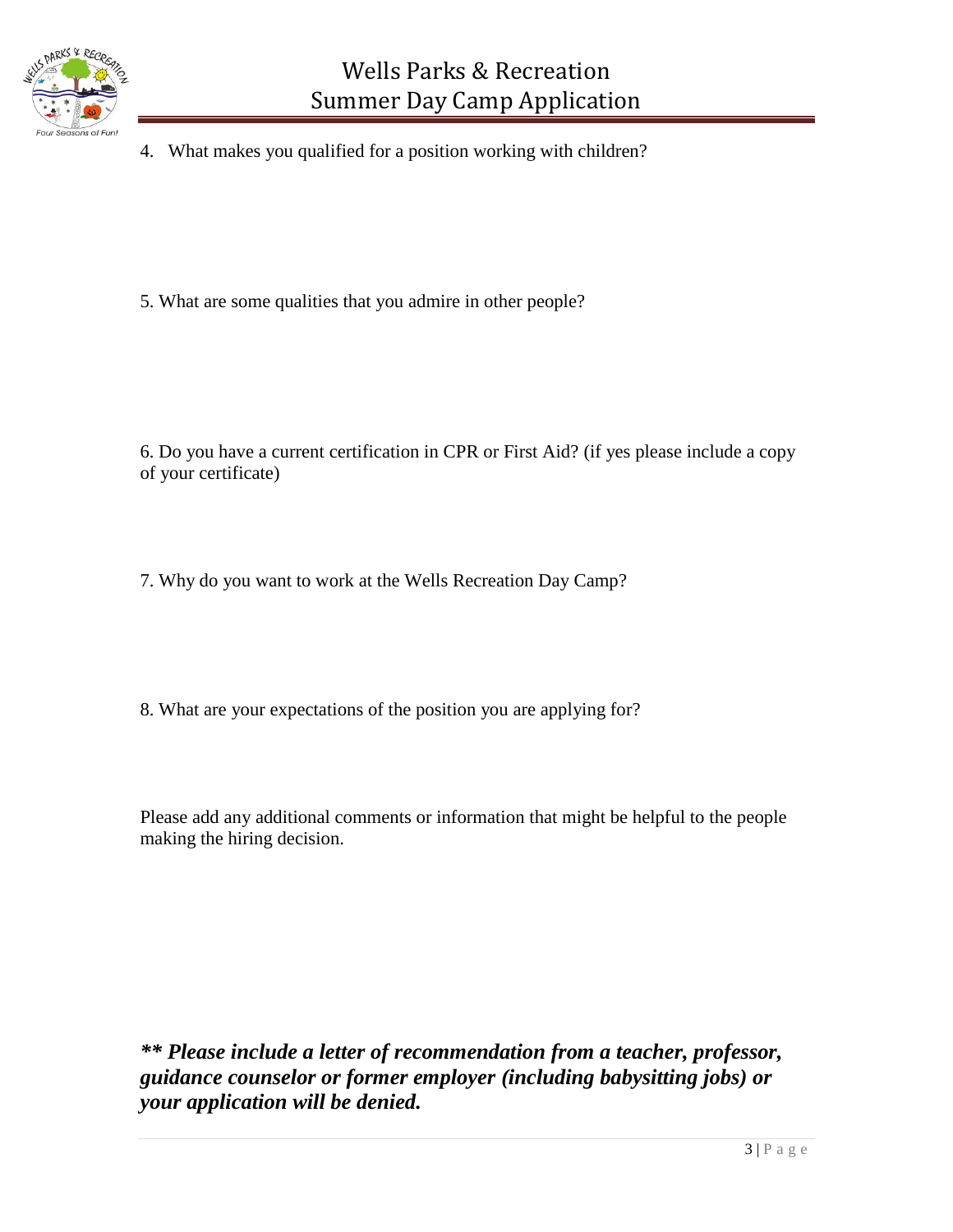

4. What makes you qualified for a position working with children?

5. What are some qualities that you admire in other people?

6. Do you have a current certification in CPR or First Aid? (if yes please include a copy of your certificate)

7. Why do you want to work at the Wells Recreation Day Camp?

8. What are your expectations of the position you are applying for?

Please add any additional comments or information that might be helpful to the people making the hiring decision.

*\*\* Please include a letter of recommendation from a teacher, professor, guidance counselor or former employer (including babysitting jobs) or your application will be denied.*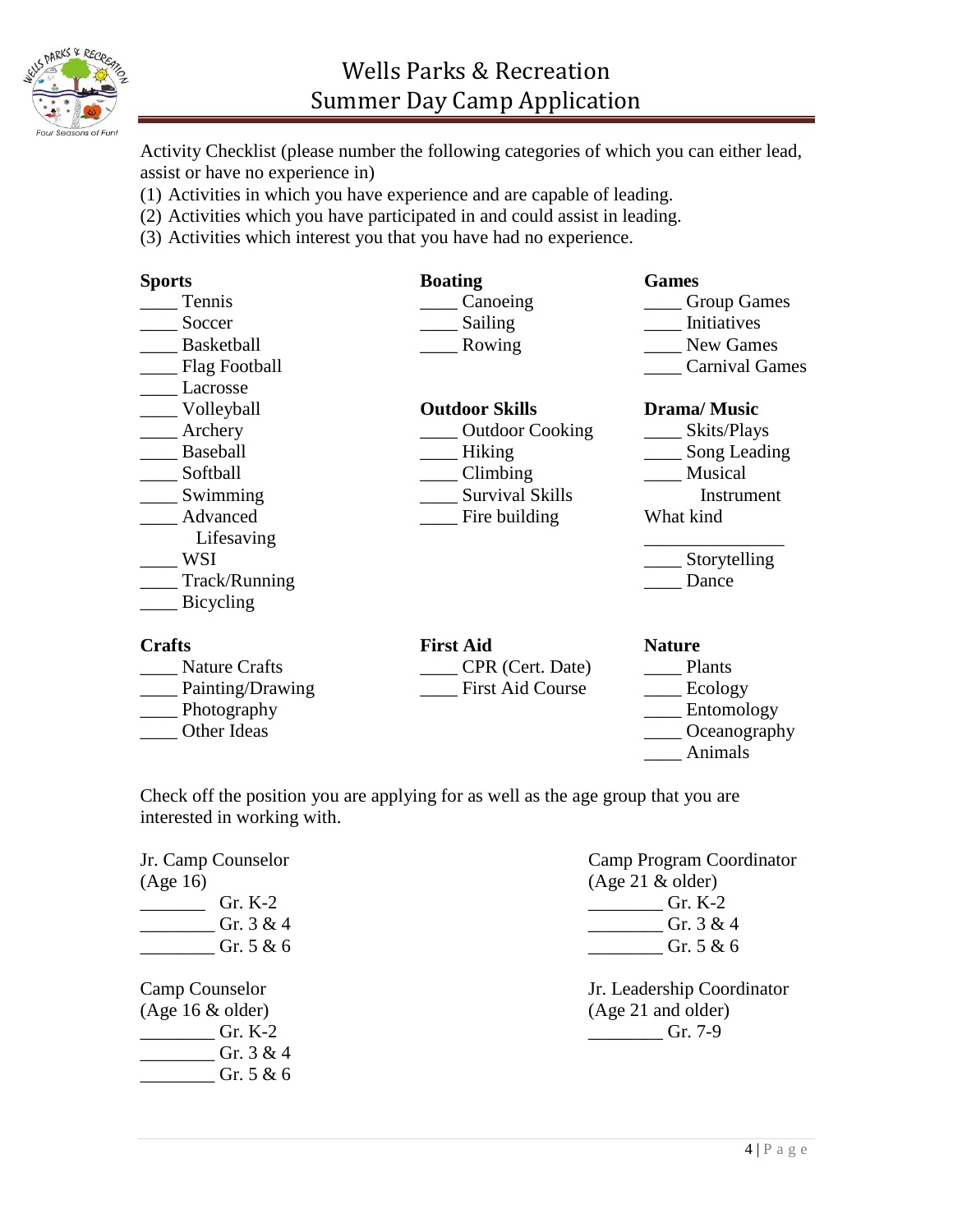

Activity Checklist (please number the following categories of which you can either lead, assist or have no experience in)

- (1) Activities in which you have experience and are capable of leading.
- (2) Activities which you have participated in and could assist in leading.
- (3) Activities which interest you that you have had no experience.

| <b>Sports</b>            | <b>Boating</b>                 | <b>Games</b>          |
|--------------------------|--------------------------------|-----------------------|
| Tennis                   | Canoeing                       | <b>Group Games</b>    |
| Soccer                   | Sailing                        | Initiatives           |
| Basketball               | Rowing                         | New Games             |
| Flag Football            |                                | <b>Carnival Games</b> |
| Lacrosse                 |                                |                       |
| Volleyball               | <b>Outdoor Skills</b>          | <b>Drama/Music</b>    |
| <b>Example 2</b> Archery | <b>Cooking</b> Outdoor Cooking | _____ Skits/Plays     |
| Baseball                 | Hiking                         | ____ Song Leading     |
| Softball                 | Climbing                       | Musical               |
| Swimming                 | <b>Survival Skills</b>         | Instrument            |
| Advanced                 | Fire building                  | What kind             |
| Lifesaving               |                                |                       |
| <b>WSI</b>               |                                | Storytelling          |
| Track/Running            |                                | Dance                 |
| $\equiv$ Bicycling       |                                |                       |
| <b>Crafts</b>            | <b>First Aid</b>               | <b>Nature</b>         |
| <b>Nature Crafts</b>     | CPR (Cert. Date)               | Plants                |
|                          | <b>First Aid Course</b>        |                       |
| Painting/Drawing         |                                | Ecology               |
| Photography              |                                | Entomology            |
| Other Ideas              |                                | Oceanography          |
|                          |                                | Animals               |

Check off the position you are applying for as well as the age group that you are interested in working with.

| Jr. Camp Counselor  | Camp Program Coordinator   |  |  |
|---------------------|----------------------------|--|--|
| (Age 16)            | $(Age 21 \& oldlet)$       |  |  |
| $Gr. K-2$           | $Gr. K-2$                  |  |  |
| Gr. $3 & 4$         | Gr. $3 & 4$                |  |  |
| Gr. $5 & 6$         | Gr. $5 & 6$                |  |  |
| Camp Counselor      | Jr. Leadership Coordinator |  |  |
| $(Age 16 \& older)$ | (Age 21 and older)         |  |  |
| $Gr. K-2$           | Gr. 7-9                    |  |  |
| Gr. $3 & 4$         |                            |  |  |
| Gr. $5 & 6$         |                            |  |  |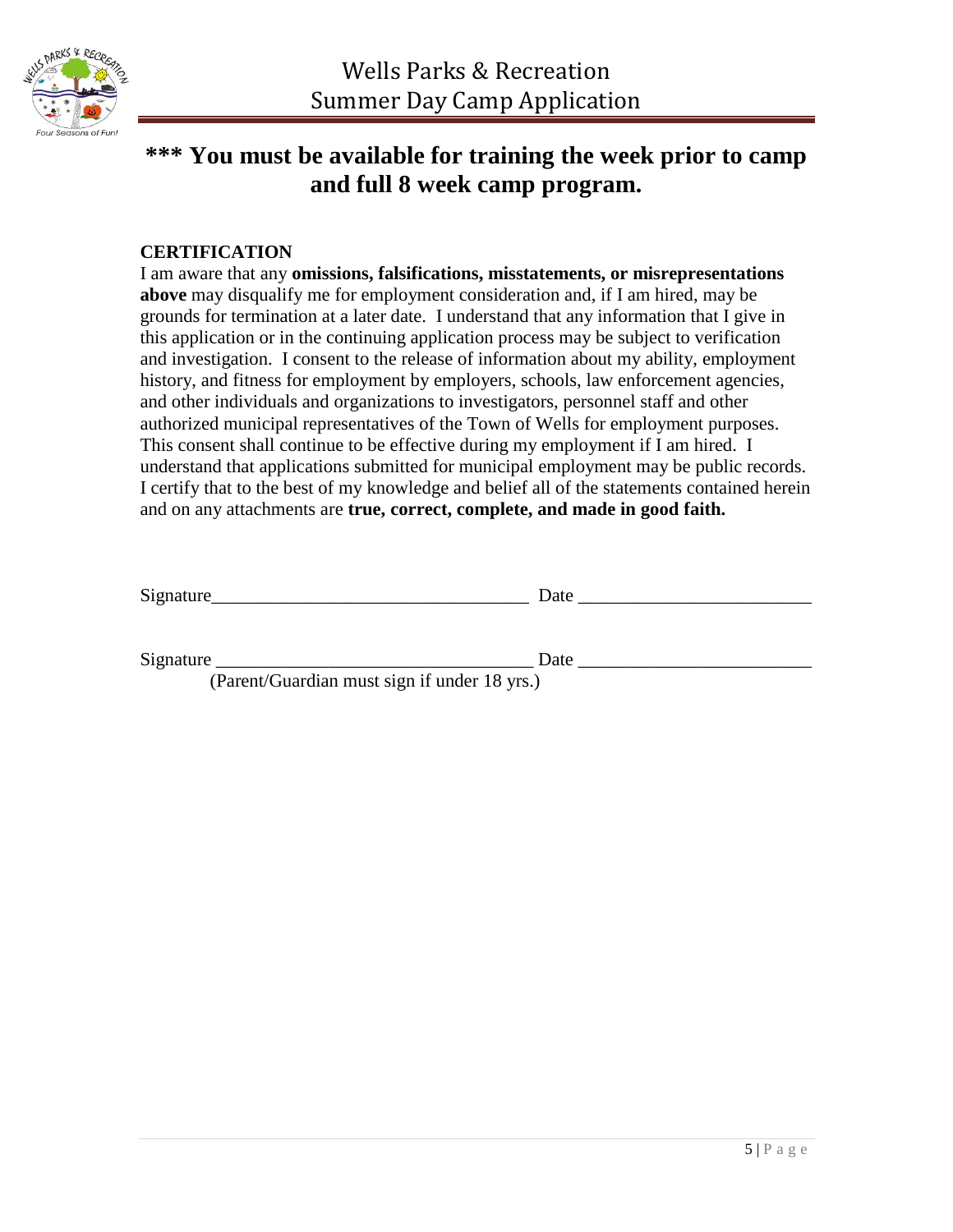

## **\*\*\* You must be available for training the week prior to camp and full 8 week camp program.**

## **CERTIFICATION**

I am aware that any **omissions, falsifications, misstatements, or misrepresentations above** may disqualify me for employment consideration and, if I am hired, may be grounds for termination at a later date. I understand that any information that I give in this application or in the continuing application process may be subject to verification and investigation. I consent to the release of information about my ability, employment history, and fitness for employment by employers, schools, law enforcement agencies, and other individuals and organizations to investigators, personnel staff and other authorized municipal representatives of the Town of Wells for employment purposes. This consent shall continue to be effective during my employment if I am hired. I understand that applications submitted for municipal employment may be public records. I certify that to the best of my knowledge and belief all of the statements contained herein and on any attachments are **true, correct, complete, and made in good faith.**

Signature\_\_\_\_\_\_\_\_\_\_\_\_\_\_\_\_\_\_\_\_\_\_\_\_\_\_\_\_\_\_\_\_\_\_ Date \_\_\_\_\_\_\_\_\_\_\_\_\_\_\_\_\_\_\_\_\_\_\_\_\_

Signature \_\_\_\_\_\_\_\_\_\_\_\_\_\_\_\_\_\_\_\_\_\_\_\_\_\_\_\_\_\_\_\_\_\_ Date \_\_\_\_\_\_\_\_\_\_\_\_\_\_\_\_\_\_\_\_\_\_\_\_\_

(Parent/Guardian must sign if under 18 yrs.)